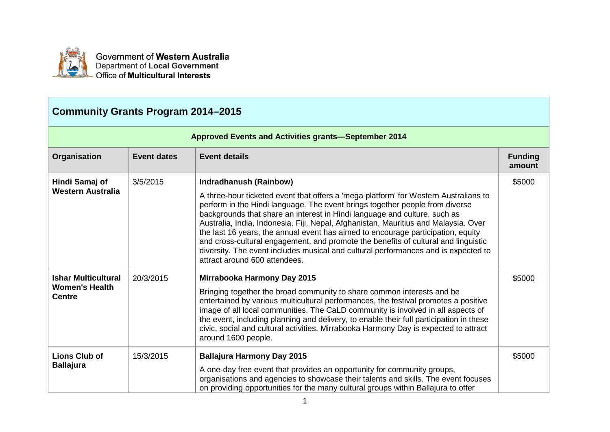

Government of Western Australia Department of Local Government Office of Multicultural Interests

## **Community Grants Program 2014–2015**

| <b>Approved Events and Activities grants-September 2014</b>          |                    |                                                                                                                                                                                                                                                                                                                                                                                                                                                                                                                                                                                                                                                                            |                          |
|----------------------------------------------------------------------|--------------------|----------------------------------------------------------------------------------------------------------------------------------------------------------------------------------------------------------------------------------------------------------------------------------------------------------------------------------------------------------------------------------------------------------------------------------------------------------------------------------------------------------------------------------------------------------------------------------------------------------------------------------------------------------------------------|--------------------------|
| Organisation                                                         | <b>Event dates</b> | <b>Event details</b>                                                                                                                                                                                                                                                                                                                                                                                                                                                                                                                                                                                                                                                       | <b>Funding</b><br>amount |
| Hindi Samaj of<br><b>Western Australia</b>                           | 3/5/2015           | <b>Indradhanush (Rainbow)</b><br>A three-hour ticketed event that offers a 'mega platform' for Western Australians to<br>perform in the Hindi language. The event brings together people from diverse<br>backgrounds that share an interest in Hindi language and culture, such as<br>Australia, India, Indonesia, Fiji, Nepal, Afghanistan, Mauritius and Malaysia. Over<br>the last 16 years, the annual event has aimed to encourage participation, equity<br>and cross-cultural engagement, and promote the benefits of cultural and linguistic<br>diversity. The event includes musical and cultural performances and is expected to<br>attract around 600 attendees. | \$5000                   |
| <b>Ishar Multicultural</b><br><b>Women's Health</b><br><b>Centre</b> | 20/3/2015          | <b>Mirrabooka Harmony Day 2015</b><br>Bringing together the broad community to share common interests and be<br>entertained by various multicultural performances, the festival promotes a positive<br>image of all local communities. The CaLD community is involved in all aspects of<br>the event, including planning and delivery, to enable their full participation in these<br>civic, social and cultural activities. Mirrabooka Harmony Day is expected to attract<br>around 1600 people.                                                                                                                                                                          | \$5000                   |
| <b>Lions Club of</b><br><b>Ballajura</b>                             | 15/3/2015          | <b>Ballajura Harmony Day 2015</b><br>A one-day free event that provides an opportunity for community groups,<br>organisations and agencies to showcase their talents and skills. The event focuses<br>on providing opportunities for the many cultural groups within Ballajura to offer                                                                                                                                                                                                                                                                                                                                                                                    | \$5000                   |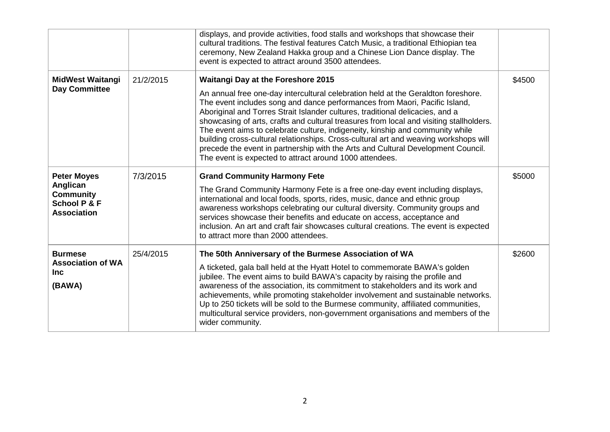|                                                                                                     |           | displays, and provide activities, food stalls and workshops that showcase their<br>cultural traditions. The festival features Catch Music, a traditional Ethiopian tea<br>ceremony, New Zealand Hakka group and a Chinese Lion Dance display. The<br>event is expected to attract around 3500 attendees.                                                                                                                                                                                                                                                                                                                                                                                                         |        |
|-----------------------------------------------------------------------------------------------------|-----------|------------------------------------------------------------------------------------------------------------------------------------------------------------------------------------------------------------------------------------------------------------------------------------------------------------------------------------------------------------------------------------------------------------------------------------------------------------------------------------------------------------------------------------------------------------------------------------------------------------------------------------------------------------------------------------------------------------------|--------|
| <b>MidWest Waitangi</b><br><b>Day Committee</b>                                                     | 21/2/2015 | <b>Waitangi Day at the Foreshore 2015</b><br>An annual free one-day intercultural celebration held at the Geraldton foreshore.<br>The event includes song and dance performances from Maori, Pacific Island,<br>Aboriginal and Torres Strait Islander cultures, traditional delicacies, and a<br>showcasing of arts, crafts and cultural treasures from local and visiting stallholders.<br>The event aims to celebrate culture, indigeneity, kinship and community while<br>building cross-cultural relationships. Cross-cultural art and weaving workshops will<br>precede the event in partnership with the Arts and Cultural Development Council.<br>The event is expected to attract around 1000 attendees. | \$4500 |
| <b>Peter Moyes</b><br>Anglican<br><b>Community</b><br><b>School P &amp; F</b><br><b>Association</b> | 7/3/2015  | <b>Grand Community Harmony Fete</b><br>The Grand Community Harmony Fete is a free one-day event including displays,<br>international and local foods, sports, rides, music, dance and ethnic group<br>awareness workshops celebrating our cultural diversity. Community groups and<br>services showcase their benefits and educate on access, acceptance and<br>inclusion. An art and craft fair showcases cultural creations. The event is expected<br>to attract more than 2000 attendees.                                                                                                                                                                                                                     | \$5000 |
| <b>Burmese</b><br><b>Association of WA</b><br><b>Inc</b><br>(BAWA)                                  | 25/4/2015 | The 50th Anniversary of the Burmese Association of WA<br>A ticketed, gala ball held at the Hyatt Hotel to commemorate BAWA's golden<br>jubilee. The event aims to build BAWA's capacity by raising the profile and<br>awareness of the association, its commitment to stakeholders and its work and<br>achievements, while promoting stakeholder involvement and sustainable networks.<br>Up to 250 tickets will be sold to the Burmese community, affiliated communities,<br>multicultural service providers, non-government organisations and members of the<br>wider community.                                                                                                                               | \$2600 |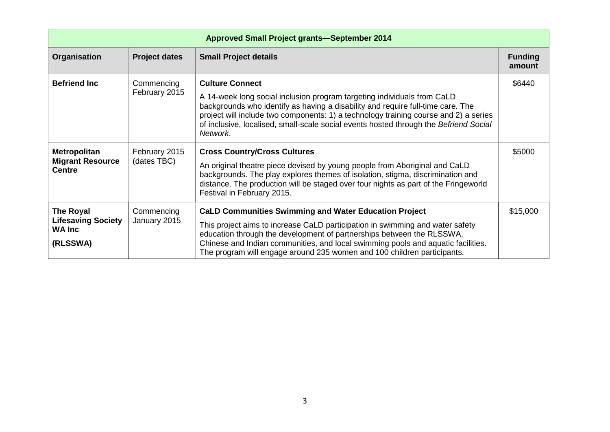| <b>Approved Small Project grants-September 2014</b>                        |                              |                                                                                                                                                                                                                                                                                                                                                                                       |                          |
|----------------------------------------------------------------------------|------------------------------|---------------------------------------------------------------------------------------------------------------------------------------------------------------------------------------------------------------------------------------------------------------------------------------------------------------------------------------------------------------------------------------|--------------------------|
| Organisation                                                               | <b>Project dates</b>         | <b>Small Project details</b>                                                                                                                                                                                                                                                                                                                                                          | <b>Funding</b><br>amount |
| <b>Befriend Inc</b>                                                        | Commencing<br>February 2015  | <b>Culture Connect</b><br>A 14-week long social inclusion program targeting individuals from CaLD<br>backgrounds who identify as having a disability and require full-time care. The<br>project will include two components: 1) a technology training course and 2) a series<br>of inclusive, localised, small-scale social events hosted through the Befriend Social<br>Network.     | \$6440                   |
| <b>Metropolitan</b><br><b>Migrant Resource</b><br><b>Centre</b>            | February 2015<br>(dates TBC) | <b>Cross Country/Cross Cultures</b><br>An original theatre piece devised by young people from Aboriginal and CaLD<br>backgrounds. The play explores themes of isolation, stigma, discrimination and<br>distance. The production will be staged over four nights as part of the Fringeworld<br>Festival in February 2015.                                                              | \$5000                   |
| <b>The Royal</b><br><b>Lifesaving Society</b><br><b>WA Inc</b><br>(RLSSWA) | Commencing<br>January 2015   | <b>CaLD Communities Swimming and Water Education Project</b><br>This project aims to increase CaLD participation in swimming and water safety<br>education through the development of partnerships between the RLSSWA,<br>Chinese and Indian communities, and local swimming pools and aquatic facilities.<br>The program will engage around 235 women and 100 children participants. | \$15,000                 |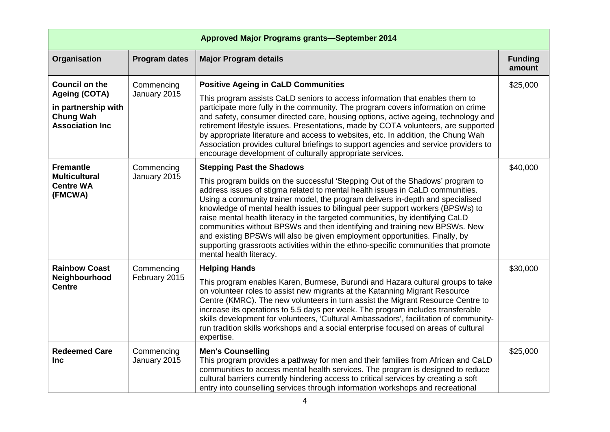| <b>Approved Major Programs grants-September 2014</b>                                                                |                             |                                                                                                                                                                                                                                                                                                                                                                                                                                                                                                                                                                                                                                                                                                                                         |                          |
|---------------------------------------------------------------------------------------------------------------------|-----------------------------|-----------------------------------------------------------------------------------------------------------------------------------------------------------------------------------------------------------------------------------------------------------------------------------------------------------------------------------------------------------------------------------------------------------------------------------------------------------------------------------------------------------------------------------------------------------------------------------------------------------------------------------------------------------------------------------------------------------------------------------------|--------------------------|
| Organisation                                                                                                        | <b>Program dates</b>        | <b>Major Program details</b>                                                                                                                                                                                                                                                                                                                                                                                                                                                                                                                                                                                                                                                                                                            | <b>Funding</b><br>amount |
| <b>Council on the</b><br><b>Ageing (COTA)</b><br>in partnership with<br><b>Chung Wah</b><br><b>Association Inc.</b> | Commencing<br>January 2015  | <b>Positive Ageing in CaLD Communities</b><br>This program assists CaLD seniors to access information that enables them to<br>participate more fully in the community. The program covers information on crime<br>and safety, consumer directed care, housing options, active ageing, technology and<br>retirement lifestyle issues. Presentations, made by COTA volunteers, are supported<br>by appropriate literature and access to websites, etc. In addition, the Chung Wah<br>Association provides cultural briefings to support agencies and service providers to<br>encourage development of culturally appropriate services.                                                                                                    | \$25,000                 |
| <b>Fremantle</b><br><b>Multicultural</b><br><b>Centre WA</b><br>(FMCWA)                                             | Commencing<br>January 2015  | <b>Stepping Past the Shadows</b><br>This program builds on the successful 'Stepping Out of the Shadows' program to<br>address issues of stigma related to mental health issues in CaLD communities.<br>Using a community trainer model, the program delivers in-depth and specialised<br>knowledge of mental health issues to bilingual peer support workers (BPSWs) to<br>raise mental health literacy in the targeted communities, by identifying CaLD<br>communities without BPSWs and then identifying and training new BPSWs. New<br>and existing BPSWs will also be given employment opportunities. Finally, by<br>supporting grassroots activities within the ethno-specific communities that promote<br>mental health literacy. | \$40,000                 |
| <b>Rainbow Coast</b><br>Neighbourhood<br><b>Centre</b>                                                              | Commencing<br>February 2015 | <b>Helping Hands</b><br>This program enables Karen, Burmese, Burundi and Hazara cultural groups to take<br>on volunteer roles to assist new migrants at the Katanning Migrant Resource<br>Centre (KMRC). The new volunteers in turn assist the Migrant Resource Centre to<br>increase its operations to 5.5 days per week. The program includes transferable<br>skills development for volunteers, 'Cultural Ambassadors', facilitation of community-<br>run tradition skills workshops and a social enterprise focused on areas of cultural<br>expertise.                                                                                                                                                                              | \$30,000                 |
| <b>Redeemed Care</b><br><b>Inc</b>                                                                                  | Commencing<br>January 2015  | <b>Men's Counselling</b><br>This program provides a pathway for men and their families from African and CaLD<br>communities to access mental health services. The program is designed to reduce<br>cultural barriers currently hindering access to critical services by creating a soft<br>entry into counselling services through information workshops and recreational                                                                                                                                                                                                                                                                                                                                                               | \$25,000                 |